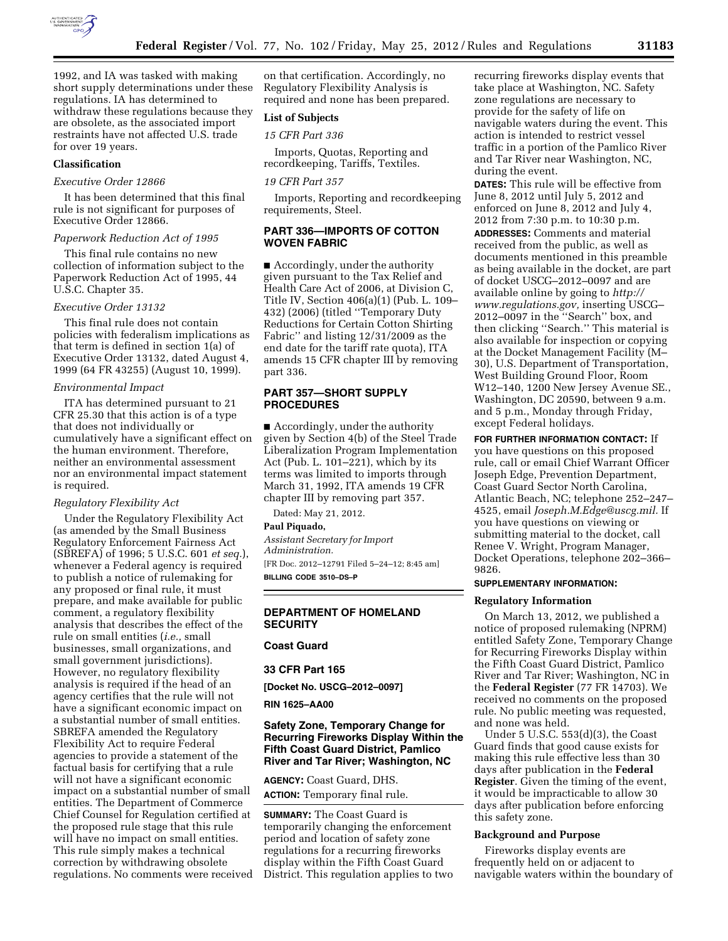

1992, and IA was tasked with making short supply determinations under these regulations. IA has determined to withdraw these regulations because they are obsolete, as the associated import restraints have not affected U.S. trade for over 19 years.

## **Classification**

#### *Executive Order 12866*

It has been determined that this final rule is not significant for purposes of Executive Order 12866.

#### *Paperwork Reduction Act of 1995*

This final rule contains no new collection of information subject to the Paperwork Reduction Act of 1995, 44 U.S.C. Chapter 35.

# *Executive Order 13132*

This final rule does not contain policies with federalism implications as that term is defined in section 1(a) of Executive Order 13132, dated August 4, 1999 (64 FR 43255) (August 10, 1999).

#### *Environmental Impact*

ITA has determined pursuant to 21 CFR 25.30 that this action is of a type that does not individually or cumulatively have a significant effect on the human environment. Therefore, neither an environmental assessment nor an environmental impact statement is required.

#### *Regulatory Flexibility Act*

Under the Regulatory Flexibility Act (as amended by the Small Business Regulatory Enforcement Fairness Act (SBREFA) of 1996; 5 U.S.C. 601 *et seq.*), whenever a Federal agency is required to publish a notice of rulemaking for any proposed or final rule, it must prepare, and make available for public comment, a regulatory flexibility analysis that describes the effect of the rule on small entities (*i.e.,* small businesses, small organizations, and small government jurisdictions). However, no regulatory flexibility analysis is required if the head of an agency certifies that the rule will not have a significant economic impact on a substantial number of small entities. SBREFA amended the Regulatory Flexibility Act to require Federal agencies to provide a statement of the factual basis for certifying that a rule will not have a significant economic impact on a substantial number of small entities. The Department of Commerce Chief Counsel for Regulation certified at the proposed rule stage that this rule will have no impact on small entities. This rule simply makes a technical correction by withdrawing obsolete regulations. No comments were received on that certification. Accordingly, no Regulatory Flexibility Analysis is required and none has been prepared.

# **List of Subjects**

*15 CFR Part 336* 

Imports, Quotas, Reporting and recordkeeping, Tariffs, Textiles.

# *19 CFR Part 357*

Imports, Reporting and recordkeeping requirements, Steel.

# **PART 336—IMPORTS OF COTTON WOVEN FABRIC**

■ Accordingly, under the authority given pursuant to the Tax Relief and Health Care Act of 2006, at Division C, Title IV, Section 406(a)(1) (Pub. L. 109– 432) (2006) (titled ''Temporary Duty Reductions for Certain Cotton Shirting Fabric'' and listing 12/31/2009 as the end date for the tariff rate quota), ITA amends 15 CFR chapter III by removing part 336.

# **PART 357—SHORT SUPPLY PROCEDURES**

■ Accordingly, under the authority given by Section 4(b) of the Steel Trade Liberalization Program Implementation Act (Pub. L. 101–221), which by its terms was limited to imports through March 31, 1992, ITA amends 19 CFR chapter III by removing part 357.

Dated: May 21, 2012.

## **Paul Piquado,**

*Assistant Secretary for Import Administration.*  [FR Doc. 2012–12791 Filed 5–24–12; 8:45 am] **BILLING CODE 3510–DS–P** 

# **DEPARTMENT OF HOMELAND SECURITY**

# **Coast Guard**

## **33 CFR Part 165**

**[Docket No. USCG–2012–0097]** 

#### **RIN 1625–AA00**

# **Safety Zone, Temporary Change for Recurring Fireworks Display Within the Fifth Coast Guard District, Pamlico River and Tar River; Washington, NC**

**AGENCY:** Coast Guard, DHS. **ACTION:** Temporary final rule.

**SUMMARY:** The Coast Guard is temporarily changing the enforcement period and location of safety zone regulations for a recurring fireworks display within the Fifth Coast Guard District. This regulation applies to two recurring fireworks display events that take place at Washington, NC. Safety zone regulations are necessary to provide for the safety of life on navigable waters during the event. This action is intended to restrict vessel traffic in a portion of the Pamlico River and Tar River near Washington, NC, during the event.

**DATES:** This rule will be effective from June 8, 2012 until July 5, 2012 and enforced on June 8, 2012 and July 4, 2012 from 7:30 p.m. to 10:30 p.m. **ADDRESSES:** Comments and material received from the public, as well as documents mentioned in this preamble as being available in the docket, are part of docket USCG–2012–0097 and are available online by going to *[http://](http://www.regulations.gov)  [www.regulations.gov,](http://www.regulations.gov)* inserting USCG– 2012–0097 in the ''Search'' box, and then clicking ''Search.'' This material is also available for inspection or copying at the Docket Management Facility (M– 30), U.S. Department of Transportation, West Building Ground Floor, Room W12–140, 1200 New Jersey Avenue SE., Washington, DC 20590, between 9 a.m. and 5 p.m., Monday through Friday, except Federal holidays.

**FOR FURTHER INFORMATION CONTACT:** If you have questions on this proposed rule, call or email Chief Warrant Officer Joseph Edge, Prevention Department, Coast Guard Sector North Carolina, Atlantic Beach, NC; telephone 252–247– 4525, email *[Joseph.M.Edge@uscg.mil.](mailto:Joseph.M.Edge@uscg.mil)* If you have questions on viewing or submitting material to the docket, call Renee V. Wright, Program Manager, Docket Operations, telephone 202–366– 9826.

# **SUPPLEMENTARY INFORMATION:**

#### **Regulatory Information**

On March 13, 2012, we published a notice of proposed rulemaking (NPRM) entitled Safety Zone, Temporary Change for Recurring Fireworks Display within the Fifth Coast Guard District, Pamlico River and Tar River; Washington, NC in the **Federal Register** (77 FR 14703). We received no comments on the proposed rule. No public meeting was requested, and none was held.

Under 5 U.S.C. 553(d)(3), the Coast Guard finds that good cause exists for making this rule effective less than 30 days after publication in the **Federal Register**. Given the timing of the event, it would be impracticable to allow 30 days after publication before enforcing this safety zone.

## **Background and Purpose**

Fireworks display events are frequently held on or adjacent to navigable waters within the boundary of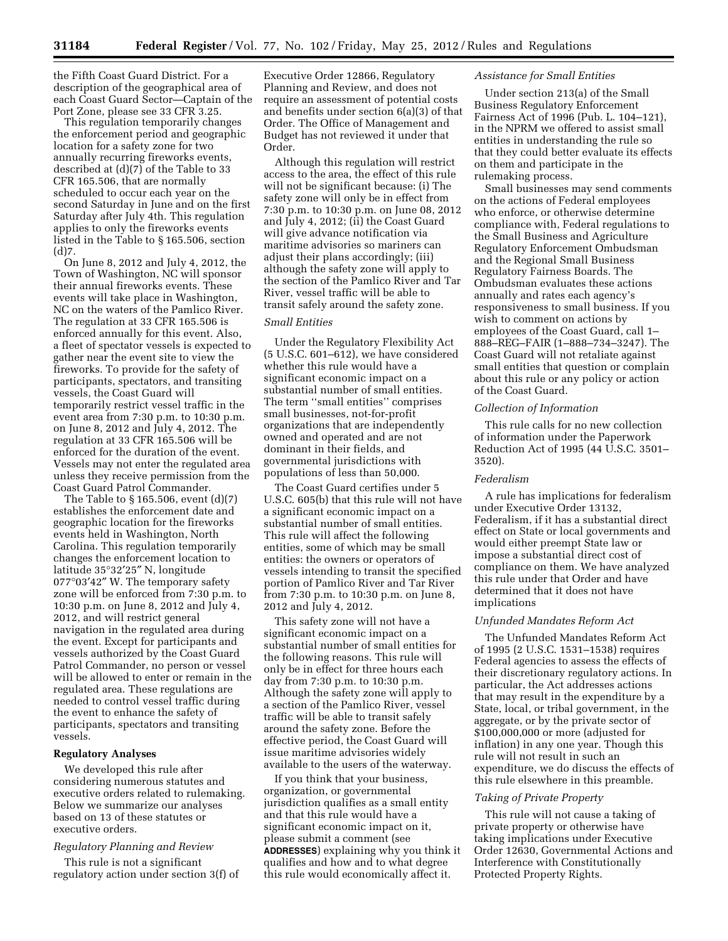the Fifth Coast Guard District. For a description of the geographical area of each Coast Guard Sector—Captain of the Port Zone, please see 33 CFR 3.25.

This regulation temporarily changes the enforcement period and geographic location for a safety zone for two annually recurring fireworks events, described at  $(d)(7)$  of the Table to 33 CFR 165.506, that are normally scheduled to occur each year on the second Saturday in June and on the first Saturday after July 4th. This regulation applies to only the fireworks events listed in the Table to § 165.506, section  $(d)$ 7.

On June 8, 2012 and July 4, 2012, the Town of Washington, NC will sponsor their annual fireworks events. These events will take place in Washington, NC on the waters of the Pamlico River. The regulation at 33 CFR 165.506 is enforced annually for this event. Also, a fleet of spectator vessels is expected to gather near the event site to view the fireworks. To provide for the safety of participants, spectators, and transiting vessels, the Coast Guard will temporarily restrict vessel traffic in the event area from 7:30 p.m. to 10:30 p.m. on June 8, 2012 and July 4, 2012. The regulation at 33 CFR 165.506 will be enforced for the duration of the event. Vessels may not enter the regulated area unless they receive permission from the Coast Guard Patrol Commander.

The Table to § 165.506, event (d)(7) establishes the enforcement date and geographic location for the fireworks events held in Washington, North Carolina. This regulation temporarily changes the enforcement location to latitude 35°32′25″ N, longitude 077°03′42″ W. The temporary safety zone will be enforced from 7:30 p.m. to 10:30 p.m. on June 8, 2012 and July 4, 2012, and will restrict general navigation in the regulated area during the event. Except for participants and vessels authorized by the Coast Guard Patrol Commander, no person or vessel will be allowed to enter or remain in the regulated area. These regulations are needed to control vessel traffic during the event to enhance the safety of participants, spectators and transiting vessels.

## **Regulatory Analyses**

We developed this rule after considering numerous statutes and executive orders related to rulemaking. Below we summarize our analyses based on 13 of these statutes or executive orders.

# *Regulatory Planning and Review*

This rule is not a significant regulatory action under section 3(f) of

Executive Order 12866, Regulatory Planning and Review, and does not require an assessment of potential costs and benefits under section 6(a)(3) of that Order. The Office of Management and Budget has not reviewed it under that Order.

Although this regulation will restrict access to the area, the effect of this rule will not be significant because: (i) The safety zone will only be in effect from 7:30 p.m. to 10:30 p.m. on June 08, 2012 and July 4, 2012; (ii) the Coast Guard will give advance notification via maritime advisories so mariners can adjust their plans accordingly; (iii) although the safety zone will apply to the section of the Pamlico River and Tar River, vessel traffic will be able to transit safely around the safety zone.

# *Small Entities*

Under the Regulatory Flexibility Act (5 U.S.C. 601–612), we have considered whether this rule would have a significant economic impact on a substantial number of small entities. The term ''small entities'' comprises small businesses, not-for-profit organizations that are independently owned and operated and are not dominant in their fields, and governmental jurisdictions with populations of less than 50,000.

The Coast Guard certifies under 5 U.S.C. 605(b) that this rule will not have a significant economic impact on a substantial number of small entities. This rule will affect the following entities, some of which may be small entities: the owners or operators of vessels intending to transit the specified portion of Pamlico River and Tar River from 7:30 p.m. to 10:30 p.m. on June 8, 2012 and July 4, 2012.

This safety zone will not have a significant economic impact on a substantial number of small entities for the following reasons. This rule will only be in effect for three hours each day from 7:30 p.m. to 10:30 p.m. Although the safety zone will apply to a section of the Pamlico River, vessel traffic will be able to transit safely around the safety zone. Before the effective period, the Coast Guard will issue maritime advisories widely available to the users of the waterway.

If you think that your business, organization, or governmental jurisdiction qualifies as a small entity and that this rule would have a significant economic impact on it, please submit a comment (see **ADDRESSES**) explaining why you think it qualifies and how and to what degree this rule would economically affect it.

# *Assistance for Small Entities*

Under section 213(a) of the Small Business Regulatory Enforcement Fairness Act of 1996 (Pub. L. 104–121), in the NPRM we offered to assist small entities in understanding the rule so that they could better evaluate its effects on them and participate in the rulemaking process.

Small businesses may send comments on the actions of Federal employees who enforce, or otherwise determine compliance with, Federal regulations to the Small Business and Agriculture Regulatory Enforcement Ombudsman and the Regional Small Business Regulatory Fairness Boards. The Ombudsman evaluates these actions annually and rates each agency's responsiveness to small business. If you wish to comment on actions by employees of the Coast Guard, call 1– 888–REG–FAIR (1–888–734–3247). The Coast Guard will not retaliate against small entities that question or complain about this rule or any policy or action of the Coast Guard.

## *Collection of Information*

This rule calls for no new collection of information under the Paperwork Reduction Act of 1995 (44 U.S.C. 3501– 3520).

## *Federalism*

A rule has implications for federalism under Executive Order 13132, Federalism, if it has a substantial direct effect on State or local governments and would either preempt State law or impose a substantial direct cost of compliance on them. We have analyzed this rule under that Order and have determined that it does not have implications

## *Unfunded Mandates Reform Act*

The Unfunded Mandates Reform Act of 1995 (2 U.S.C. 1531–1538) requires Federal agencies to assess the effects of their discretionary regulatory actions. In particular, the Act addresses actions that may result in the expenditure by a State, local, or tribal government, in the aggregate, or by the private sector of \$100,000,000 or more (adjusted for inflation) in any one year. Though this rule will not result in such an expenditure, we do discuss the effects of this rule elsewhere in this preamble.

## *Taking of Private Property*

This rule will not cause a taking of private property or otherwise have taking implications under Executive Order 12630, Governmental Actions and Interference with Constitutionally Protected Property Rights.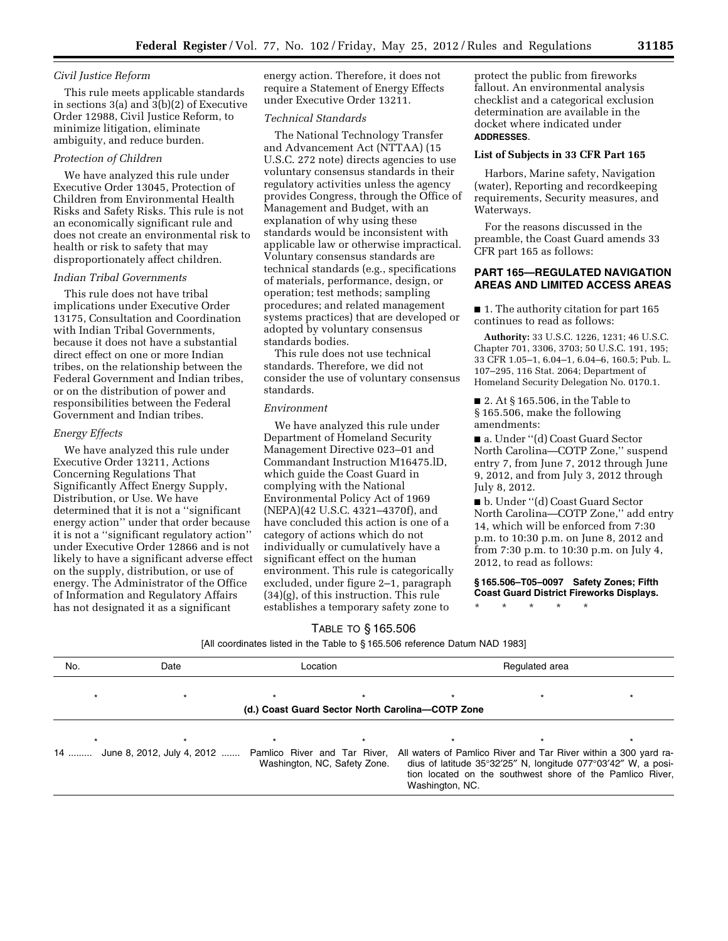## *Civil Justice Reform*

This rule meets applicable standards in sections  $3(a)$  and  $3(b)(2)$  of Executive Order 12988, Civil Justice Reform, to minimize litigation, eliminate ambiguity, and reduce burden.

## *Protection of Children*

We have analyzed this rule under Executive Order 13045, Protection of Children from Environmental Health Risks and Safety Risks. This rule is not an economically significant rule and does not create an environmental risk to health or risk to safety that may disproportionately affect children.

## *Indian Tribal Governments*

This rule does not have tribal implications under Executive Order 13175, Consultation and Coordination with Indian Tribal Governments, because it does not have a substantial direct effect on one or more Indian tribes, on the relationship between the Federal Government and Indian tribes, or on the distribution of power and responsibilities between the Federal Government and Indian tribes.

# *Energy Effects*

We have analyzed this rule under Executive Order 13211, Actions Concerning Regulations That Significantly Affect Energy Supply, Distribution, or Use. We have determined that it is not a ''significant energy action'' under that order because it is not a ''significant regulatory action'' under Executive Order 12866 and is not likely to have a significant adverse effect on the supply, distribution, or use of energy. The Administrator of the Office of Information and Regulatory Affairs has not designated it as a significant

energy action. Therefore, it does not require a Statement of Energy Effects under Executive Order 13211.

## *Technical Standards*

The National Technology Transfer and Advancement Act (NTTAA) (15 U.S.C. 272 note) directs agencies to use voluntary consensus standards in their regulatory activities unless the agency provides Congress, through the Office of Management and Budget, with an explanation of why using these standards would be inconsistent with applicable law or otherwise impractical. Voluntary consensus standards are technical standards (e.g., specifications of materials, performance, design, or operation; test methods; sampling procedures; and related management systems practices) that are developed or adopted by voluntary consensus standards bodies.

This rule does not use technical standards. Therefore, we did not consider the use of voluntary consensus standards.

#### *Environment*

We have analyzed this rule under Department of Homeland Security Management Directive 023–01 and Commandant Instruction M16475.lD, which guide the Coast Guard in complying with the National Environmental Policy Act of 1969 (NEPA)(42 U.S.C. 4321–4370f), and have concluded this action is one of a category of actions which do not individually or cumulatively have a significant effect on the human environment. This rule is categorically excluded, under figure 2–1, paragraph (34)(g), of this instruction. This rule establishes a temporary safety zone to

protect the public from fireworks fallout. An environmental analysis checklist and a categorical exclusion determination are available in the docket where indicated under **ADDRESSES**.

# **List of Subjects in 33 CFR Part 165**

Harbors, Marine safety, Navigation (water), Reporting and recordkeeping requirements, Security measures, and Waterways.

For the reasons discussed in the preamble, the Coast Guard amends 33 CFR part 165 as follows:

# **PART 165—REGULATED NAVIGATION AREAS AND LIMITED ACCESS AREAS**

■ 1. The authority citation for part 165 continues to read as follows:

**Authority:** 33 U.S.C. 1226, 1231; 46 U.S.C. Chapter 701, 3306, 3703; 50 U.S.C. 191, 195; 33 CFR 1.05–1, 6.04–1, 6.04–6, 160.5; Pub. L. 107–295, 116 Stat. 2064; Department of Homeland Security Delegation No. 0170.1.

■ 2. At § 165.506, in the Table to § 165.506, make the following amendments:

■ a. Under "(d) Coast Guard Sector North Carolina—COTP Zone,'' suspend entry 7, from June 7, 2012 through June 9, 2012, and from July 3, 2012 through July 8, 2012.

■ b. Under "(d) Coast Guard Sector North Carolina—COTP Zone,'' add entry 14, which will be enforced from 7:30 p.m. to 10:30 p.m. on June 8, 2012 and from 7:30 p.m. to 10:30 p.m. on July 4, 2012, to read as follows:

**§ 165.506–T05–0097 Safety Zones; Fifth Coast Guard District Fireworks Displays.** 

\* \* \* \* \*

#### TABLE TO § 165.506

[All coordinates listed in the Table to § 165.506 reference Datum NAD 1983]

| No. | Date                                                                                                                         | Location |                              | Regulated area                                                                                                                                                    |  |  |
|-----|------------------------------------------------------------------------------------------------------------------------------|----------|------------------------------|-------------------------------------------------------------------------------------------------------------------------------------------------------------------|--|--|
|     |                                                                                                                              |          |                              |                                                                                                                                                                   |  |  |
|     |                                                                                                                              |          |                              | (d.) Coast Guard Sector North Carolina-COTP Zone                                                                                                                  |  |  |
|     |                                                                                                                              |          |                              |                                                                                                                                                                   |  |  |
|     | 14  June 8, 2012, July 4, 2012  Pamlico River and Tar River, All waters of Pamlico River and Tar River within a 300 yard ra- |          | Washington, NC, Safety Zone. | dius of latitude $35^{\circ}32'25''$ N, longitude $077^{\circ}03'42''$ W, a posi-<br>tion located on the southwest shore of the Pamlico River,<br>Washington, NC. |  |  |